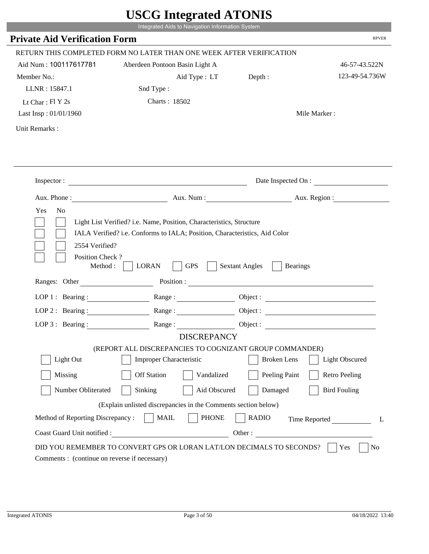|                                                                 | Integrated Aids to Navigation Information System                                                                                                   |                                                        |                       |
|-----------------------------------------------------------------|----------------------------------------------------------------------------------------------------------------------------------------------------|--------------------------------------------------------|-----------------------|
| <b>Private Aid Verification Form</b>                            |                                                                                                                                                    |                                                        | <b>RPVER</b>          |
|                                                                 | RETURN THIS COMPLETED FORM NO LATER THAN ONE WEEK AFTER VERIFICATION                                                                               |                                                        |                       |
| Aid Num: 100117617781                                           | Aberdeen Pontoon Basin Light A                                                                                                                     |                                                        | 46-57-43.522N         |
| Member No.:                                                     | Aid Type : LT                                                                                                                                      | Depth:                                                 | 123-49-54.736W        |
| LLNR: 15847.1                                                   | Snd Type:                                                                                                                                          |                                                        |                       |
| Lt Char: $FI Y 2s$                                              | Charts: 18502                                                                                                                                      |                                                        |                       |
| Last Insp: 01/01/1960                                           |                                                                                                                                                    |                                                        | Mile Marker:          |
| Unit Remarks:                                                   |                                                                                                                                                    |                                                        |                       |
|                                                                 |                                                                                                                                                    |                                                        |                       |
|                                                                 | Inspector:                                                                                                                                         |                                                        | Date Inspected On :   |
|                                                                 | Aux. Phone : Aux. Num : Aux. Num : Aux. Aux. Region :                                                                                              |                                                        |                       |
| 2554 Verified?                                                  | Light List Verified? i.e. Name, Position, Characteristics, Structure<br>IALA Verified? i.e. Conforms to IALA; Position, Characteristics, Aid Color |                                                        |                       |
| Position Check?<br>Method :<br>Ranges: Other                    | <b>GPS</b><br><b>LORAN</b>                                                                                                                         | <b>Sextant Angles</b><br><b>Bearings</b><br>Position : |                       |
|                                                                 |                                                                                                                                                    |                                                        |                       |
| LOP 1 : Bearing :                                               | Range:                                                                                                                                             |                                                        |                       |
| $LOP$ 2 : Bearing :                                             |                                                                                                                                                    |                                                        |                       |
|                                                                 | LOP 3: Bearing : $\qquad \qquad$ Range :                                                                                                           |                                                        |                       |
|                                                                 | <b>DISCREPANCY</b><br>(REPORT ALL DISCREPANCIES TO COGNIZANT GROUP COMMANDER)                                                                      |                                                        |                       |
| Light Out                                                       | Improper Characteristic                                                                                                                            | <b>Broken</b> Lens                                     | <b>Light Obscured</b> |
| Missing                                                         | <b>Off Station</b><br>Vandalized                                                                                                                   | Peeling Paint                                          | <b>Retro Peeling</b>  |
|                                                                 |                                                                                                                                                    |                                                        |                       |
| Number Obliterated                                              | Sinking<br>Aid Obscured                                                                                                                            | Damaged                                                | <b>Bird Fouling</b>   |
|                                                                 | (Explain unlisted discrepancies in the Comments section below)                                                                                     |                                                        |                       |
| Method of Reporting Discrepancy:<br>Coast Guard Unit notified : | <b>MAIL</b><br><b>PHONE</b>                                                                                                                        | <b>RADIO</b><br>Other:                                 | Time Reported         |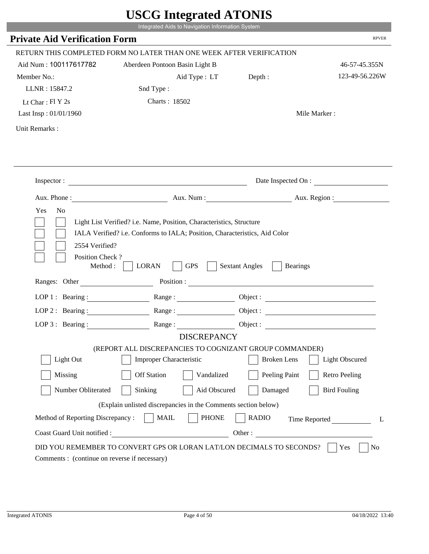|                                                                 | Integrated Aids to Navigation Information System                                                                                                   |                                                        |                       |
|-----------------------------------------------------------------|----------------------------------------------------------------------------------------------------------------------------------------------------|--------------------------------------------------------|-----------------------|
| <b>Private Aid Verification Form</b>                            |                                                                                                                                                    |                                                        | <b>RPVER</b>          |
|                                                                 | RETURN THIS COMPLETED FORM NO LATER THAN ONE WEEK AFTER VERIFICATION                                                                               |                                                        |                       |
| Aid Num: 100117617782                                           | Aberdeen Pontoon Basin Light B                                                                                                                     |                                                        | 46-57-45.355N         |
| Member No.:                                                     | Aid Type: LT                                                                                                                                       | Depth:                                                 | 123-49-56.226W        |
| LLNR: 15847.2                                                   | Snd Type:                                                                                                                                          |                                                        |                       |
| Lt Char: $FI Y 2s$                                              | Charts: 18502                                                                                                                                      |                                                        |                       |
| Last Insp: 01/01/1960                                           |                                                                                                                                                    |                                                        | Mile Marker:          |
| Unit Remarks:                                                   |                                                                                                                                                    |                                                        |                       |
|                                                                 | Inspector:                                                                                                                                         |                                                        | Date Inspected On :   |
| Aux. Phone :                                                    |                                                                                                                                                    | Aux. Num : Aux. Region :                               |                       |
| N <sub>o</sub><br>Yes<br>2554 Verified?                         | Light List Verified? i.e. Name, Position, Characteristics, Structure<br>IALA Verified? i.e. Conforms to IALA; Position, Characteristics, Aid Color |                                                        |                       |
| Position Check?<br>Method :<br>Ranges: Other                    | <b>GPS</b><br><b>LORAN</b>                                                                                                                         | <b>Sextant Angles</b><br><b>Bearings</b><br>Position : |                       |
|                                                                 |                                                                                                                                                    |                                                        |                       |
|                                                                 | LOP 1: Bearing: $\qquad \qquad$ Range:                                                                                                             |                                                        |                       |
|                                                                 | LOP 2: Bearing: Range:                                                                                                                             |                                                        |                       |
| $LOP 3:$ Bearing :                                              | Range:                                                                                                                                             |                                                        | Object:               |
|                                                                 | <b>DISCREPANCY</b><br>(REPORT ALL DISCREPANCIES TO COGNIZANT GROUP COMMANDER)                                                                      |                                                        |                       |
| Light Out                                                       | Improper Characteristic                                                                                                                            | <b>Broken</b> Lens                                     | <b>Light Obscured</b> |
| Missing                                                         | <b>Off Station</b><br>Vandalized                                                                                                                   | Peeling Paint                                          | <b>Retro Peeling</b>  |
| Number Obliterated                                              | Aid Obscured<br>Sinking                                                                                                                            | Damaged                                                | <b>Bird Fouling</b>   |
|                                                                 |                                                                                                                                                    |                                                        |                       |
|                                                                 | (Explain unlisted discrepancies in the Comments section below)                                                                                     |                                                        |                       |
| Method of Reporting Discrepancy:<br>Coast Guard Unit notified : | <b>PHONE</b><br><b>MAIL</b><br>Other:                                                                                                              | <b>RADIO</b>                                           | Time Reported         |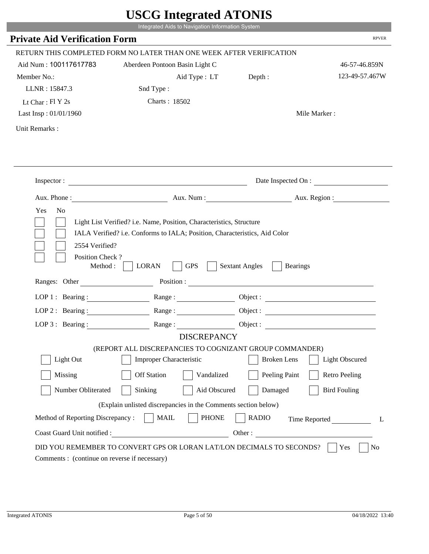|                                                                 | Integrated Aids to Navigation Information System                                              |                                                        |                       |
|-----------------------------------------------------------------|-----------------------------------------------------------------------------------------------|--------------------------------------------------------|-----------------------|
| <b>Private Aid Verification Form</b>                            |                                                                                               |                                                        | <b>RPVER</b>          |
|                                                                 | RETURN THIS COMPLETED FORM NO LATER THAN ONE WEEK AFTER VERIFICATION                          |                                                        |                       |
| Aid Num: 100117617783                                           | Aberdeen Pontoon Basin Light C                                                                |                                                        | 46-57-46.859N         |
| Member No.:                                                     | Aid Type: LT                                                                                  | Depth:                                                 | 123-49-57.467W        |
| LLNR: 15847.3                                                   | Snd Type:                                                                                     |                                                        |                       |
| Lt Char: $FI Y 2s$                                              | Charts: 18502                                                                                 |                                                        |                       |
| Last Insp: 01/01/1960                                           |                                                                                               |                                                        | Mile Marker:          |
| Unit Remarks:                                                   |                                                                                               |                                                        |                       |
|                                                                 |                                                                                               |                                                        |                       |
|                                                                 | Inspector:                                                                                    |                                                        | Date Inspected On :   |
| Aux. Phone :                                                    |                                                                                               | Aux. Num : Aux. Region :                               |                       |
| 2554 Verified?<br>Position Check?                               | IALA Verified? i.e. Conforms to IALA; Position, Characteristics, Aid Color                    |                                                        |                       |
| Method :<br>Ranges: Other                                       | <b>GPS</b><br><b>LORAN</b>                                                                    | <b>Sextant Angles</b><br><b>Bearings</b><br>Position : |                       |
|                                                                 |                                                                                               |                                                        |                       |
|                                                                 | LOP 1: Bearing: $\qquad \qquad$ Range:                                                        |                                                        |                       |
|                                                                 | LOP 2: Bearing: Range:                                                                        |                                                        |                       |
| $LOP 3:$ Bearing :                                              | Range:<br><b>DISCREPANCY</b>                                                                  |                                                        | Object:               |
|                                                                 | (REPORT ALL DISCREPANCIES TO COGNIZANT GROUP COMMANDER)                                       |                                                        |                       |
| Light Out                                                       | Improper Characteristic                                                                       | <b>Broken</b> Lens                                     | <b>Light Obscured</b> |
| Missing                                                         | <b>Off Station</b><br>Vandalized                                                              | Peeling Paint                                          | <b>Retro Peeling</b>  |
| Number Obliterated                                              | Aid Obscured<br>Sinking                                                                       | Damaged                                                | <b>Bird Fouling</b>   |
|                                                                 |                                                                                               |                                                        |                       |
|                                                                 | (Explain unlisted discrepancies in the Comments section below)<br><b>PHONE</b><br><b>MAIL</b> | <b>RADIO</b>                                           |                       |
| Method of Reporting Discrepancy:<br>Coast Guard Unit notified : | Other:                                                                                        |                                                        | Time Reported         |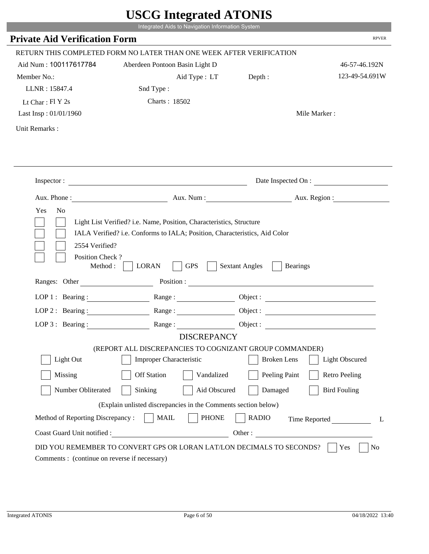|                                               | Integrated Aids to Navigation Information System                                                                                                                   |                                          |                       |
|-----------------------------------------------|--------------------------------------------------------------------------------------------------------------------------------------------------------------------|------------------------------------------|-----------------------|
| <b>Private Aid Verification Form</b>          |                                                                                                                                                                    |                                          | <b>RPVER</b>          |
|                                               | RETURN THIS COMPLETED FORM NO LATER THAN ONE WEEK AFTER VERIFICATION                                                                                               |                                          |                       |
| Aid Num: 100117617784                         | Aberdeen Pontoon Basin Light D                                                                                                                                     |                                          | 46-57-46.192N         |
| Member No.:                                   | Aid Type: LT                                                                                                                                                       | Depth:                                   | 123-49-54.691W        |
| LLNR: 15847.4                                 | Snd Type:                                                                                                                                                          |                                          |                       |
| Lt Char: $FI Y 2s$                            | Charts: 18502                                                                                                                                                      |                                          |                       |
| Last Insp: 01/01/1960                         |                                                                                                                                                                    |                                          | Mile Marker:          |
| Unit Remarks:                                 |                                                                                                                                                                    |                                          |                       |
|                                               | Inspector:                                                                                                                                                         |                                          | Date Inspected On :   |
|                                               |                                                                                                                                                                    | Aux. Num : Aux. Region :                 |                       |
| N <sub>o</sub><br>Yes                         | Aux. Phone :<br>Light List Verified? i.e. Name, Position, Characteristics, Structure<br>IALA Verified? i.e. Conforms to IALA; Position, Characteristics, Aid Color |                                          |                       |
| 2554 Verified?<br>Position Check?<br>Method : | <b>GPS</b><br><b>LORAN</b>                                                                                                                                         | <b>Sextant Angles</b><br><b>Bearings</b> |                       |
| Ranges: Other                                 |                                                                                                                                                                    | Position :                               |                       |
|                                               | LOP 1: Bearing: $\qquad \qquad$ Range:                                                                                                                             |                                          |                       |
|                                               | LOP 2: Bearing: Range:                                                                                                                                             |                                          |                       |
| $LOP 3:$ Bearing :                            | Range:                                                                                                                                                             |                                          | Object:               |
|                                               | <b>DISCREPANCY</b>                                                                                                                                                 |                                          |                       |
| Light Out                                     | (REPORT ALL DISCREPANCIES TO COGNIZANT GROUP COMMANDER)<br>Improper Characteristic                                                                                 | <b>Broken</b> Lens                       | <b>Light Obscured</b> |
|                                               |                                                                                                                                                                    |                                          |                       |
| Missing                                       | <b>Off Station</b><br>Vandalized                                                                                                                                   | Peeling Paint                            | <b>Retro Peeling</b>  |
| Number Obliterated                            | Aid Obscured<br>Sinking                                                                                                                                            | Damaged                                  | <b>Bird Fouling</b>   |
|                                               | (Explain unlisted discrepancies in the Comments section below)                                                                                                     |                                          |                       |
| Method of Reporting Discrepancy:              | <b>PHONE</b><br><b>MAIL</b>                                                                                                                                        | <b>RADIO</b>                             | Time Reported         |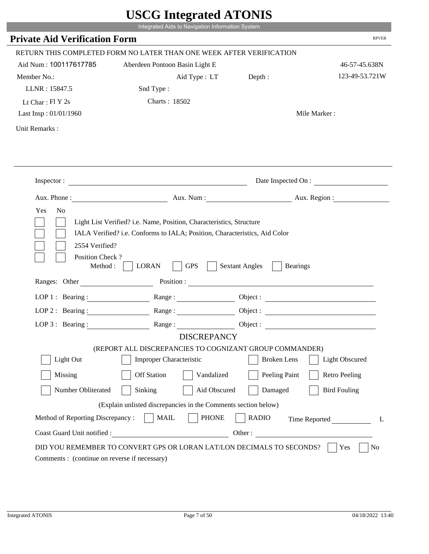|                                                                 | Integrated Aids to Navigation Information System                                                                                                   |                                                        |                       |
|-----------------------------------------------------------------|----------------------------------------------------------------------------------------------------------------------------------------------------|--------------------------------------------------------|-----------------------|
| <b>Private Aid Verification Form</b>                            |                                                                                                                                                    |                                                        | <b>RPVER</b>          |
|                                                                 | RETURN THIS COMPLETED FORM NO LATER THAN ONE WEEK AFTER VERIFICATION                                                                               |                                                        |                       |
| Aid Num: 100117617785                                           | Aberdeen Pontoon Basin Light E                                                                                                                     |                                                        | 46-57-45.638N         |
| Member No.:                                                     | Aid Type : LT                                                                                                                                      | Depth:                                                 | 123-49-53.721W        |
| LLNR: 15847.5                                                   | Snd Type:                                                                                                                                          |                                                        |                       |
| Lt Char: $FI Y 2s$                                              | Charts: 18502                                                                                                                                      |                                                        |                       |
| Last Insp: 01/01/1960                                           |                                                                                                                                                    |                                                        | Mile Marker:          |
| Unit Remarks:                                                   |                                                                                                                                                    |                                                        |                       |
|                                                                 |                                                                                                                                                    |                                                        |                       |
|                                                                 | Inspector:                                                                                                                                         |                                                        | Date Inspected On :   |
|                                                                 | Aux. Phone : Aux. Num : Aux. Num : Aux. Aux. Region :                                                                                              |                                                        |                       |
| 2554 Verified?                                                  | Light List Verified? i.e. Name, Position, Characteristics, Structure<br>IALA Verified? i.e. Conforms to IALA; Position, Characteristics, Aid Color |                                                        |                       |
| Position Check?<br>Method :<br>Ranges: Other                    | <b>GPS</b><br><b>LORAN</b>                                                                                                                         | <b>Sextant Angles</b><br><b>Bearings</b><br>Position : |                       |
|                                                                 |                                                                                                                                                    |                                                        |                       |
| LOP 1 : Bearing :                                               | Range:                                                                                                                                             |                                                        |                       |
| $LOP$ 2 : Bearing :                                             |                                                                                                                                                    |                                                        |                       |
|                                                                 | LOP 3: Bearing : $\qquad \qquad$ Range :                                                                                                           |                                                        |                       |
|                                                                 | <b>DISCREPANCY</b><br>(REPORT ALL DISCREPANCIES TO COGNIZANT GROUP COMMANDER)                                                                      |                                                        |                       |
| Light Out                                                       | Improper Characteristic                                                                                                                            | <b>Broken</b> Lens                                     | <b>Light Obscured</b> |
| Missing                                                         | <b>Off Station</b><br>Vandalized                                                                                                                   |                                                        | <b>Retro Peeling</b>  |
|                                                                 |                                                                                                                                                    | Peeling Paint                                          |                       |
| Number Obliterated                                              | Sinking<br>Aid Obscured                                                                                                                            | Damaged                                                | <b>Bird Fouling</b>   |
|                                                                 | (Explain unlisted discrepancies in the Comments section below)                                                                                     |                                                        |                       |
| Method of Reporting Discrepancy:<br>Coast Guard Unit notified : | <b>MAIL</b><br><b>PHONE</b>                                                                                                                        | <b>RADIO</b><br>Other:                                 | Time Reported         |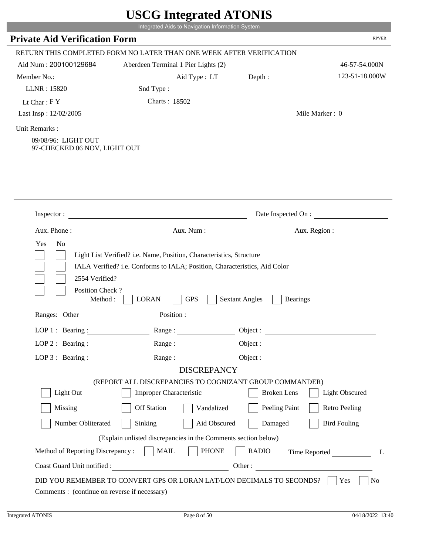|                                                                      | Integrated Aids to Navigation Information System                                                                                                                                                                              |                                          |                       |
|----------------------------------------------------------------------|-------------------------------------------------------------------------------------------------------------------------------------------------------------------------------------------------------------------------------|------------------------------------------|-----------------------|
| <b>Private Aid Verification Form</b>                                 |                                                                                                                                                                                                                               |                                          | <b>RPVER</b>          |
|                                                                      | RETURN THIS COMPLETED FORM NO LATER THAN ONE WEEK AFTER VERIFICATION                                                                                                                                                          |                                          |                       |
| Aid Num: 200100129684                                                | Aberdeen Terminal 1 Pier Lights (2)                                                                                                                                                                                           |                                          | 46-57-54.000N         |
| Member No.:                                                          | Aid Type : LT                                                                                                                                                                                                                 | Depth:                                   | 123-51-18.000W        |
| LLNR: 15820                                                          | Snd Type:                                                                                                                                                                                                                     |                                          |                       |
| Lt Char: $FY$                                                        | Charts: 18502                                                                                                                                                                                                                 |                                          |                       |
| Last Insp: 12/02/2005                                                |                                                                                                                                                                                                                               | Mile Marker: 0                           |                       |
| Unit Remarks:<br>09/08/96: LIGHT OUT<br>97-CHECKED 06 NOV, LIGHT OUT |                                                                                                                                                                                                                               |                                          |                       |
| Inspector :                                                          | <u> 1989 - Johann Barn, mars et al. (b. 1989)</u>                                                                                                                                                                             | Date Inspected On :                      |                       |
| Aux. Phone :                                                         |                                                                                                                                                                                                                               | Aux. Num: Aux. Region:                   |                       |
|                                                                      | IALA Verified? i.e. Conforms to IALA; Position, Characteristics, Aid Color                                                                                                                                                    |                                          |                       |
| 2554 Verified?<br>Position Check?<br>Method:                         | <b>LORAN</b><br><b>GPS</b>                                                                                                                                                                                                    | <b>Sextant Angles</b><br><b>Bearings</b> |                       |
| Ranges: Other                                                        | Position :                                                                                                                                                                                                                    |                                          |                       |
| LOP $1$ : Bearing :                                                  | Range:                                                                                                                                                                                                                        | Object :                                 |                       |
|                                                                      | LOP 2: Bearing : Range : Range : Object : Next : Next : Next : Next : Next : Next : Next : Next : Next : Next : Next : Next : Next : Next : Next : Next : Next : Next : Next : Next : Next : Next : Next : Next : Next : Next |                                          |                       |
| LOP 3: Bearing :                                                     | Range:                                                                                                                                                                                                                        | Object :                                 |                       |
|                                                                      | <b>DISCREPANCY</b>                                                                                                                                                                                                            |                                          |                       |
| Light Out                                                            | (REPORT ALL DISCREPANCIES TO COGNIZANT GROUP COMMANDER)<br><b>Improper Characteristic</b>                                                                                                                                     | <b>Broken</b> Lens                       | <b>Light Obscured</b> |
| Missing                                                              | <b>Off Station</b><br>Vandalized                                                                                                                                                                                              | Peeling Paint                            | <b>Retro Peeling</b>  |
| Number Obliterated                                                   | Sinking<br>Aid Obscured                                                                                                                                                                                                       | Damaged                                  | <b>Bird Fouling</b>   |
|                                                                      |                                                                                                                                                                                                                               |                                          |                       |
|                                                                      | (Explain unlisted discrepancies in the Comments section below)                                                                                                                                                                |                                          |                       |
| Method of Reporting Discrepancy :     MAIL                           | <b>PHONE</b><br>Coast Guard Unit notified :                                                                                                                                                                                   | <b>RADIO</b><br>Other:                   | Time Reported<br>L    |

г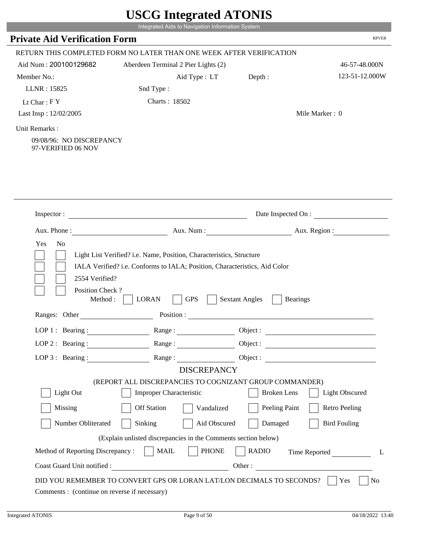|                                                                 |                                                                                                                                                                                                                               | Integrated Aids to Navigation Information System |                       |
|-----------------------------------------------------------------|-------------------------------------------------------------------------------------------------------------------------------------------------------------------------------------------------------------------------------|--------------------------------------------------|-----------------------|
| <b>Private Aid Verification Form</b>                            |                                                                                                                                                                                                                               |                                                  | <b>RPVER</b>          |
|                                                                 | RETURN THIS COMPLETED FORM NO LATER THAN ONE WEEK AFTER VERIFICATION                                                                                                                                                          |                                                  |                       |
| Aid Num: 200100129682                                           | Aberdeen Terminal 2 Pier Lights (2)                                                                                                                                                                                           |                                                  | 46-57-48.000N         |
| Member No.:                                                     | Aid Type : LT                                                                                                                                                                                                                 | Depth:                                           | 123-51-12.000W        |
| LLNR: 15825                                                     | Snd Type:                                                                                                                                                                                                                     |                                                  |                       |
| Lt Char: $FY$                                                   | Charts: 18502                                                                                                                                                                                                                 |                                                  |                       |
| Last Insp: 12/02/2005                                           |                                                                                                                                                                                                                               |                                                  | Mile Marker: 0        |
| Unit Remarks:<br>09/08/96: NO DISCREPANCY<br>97-VERIFIED 06 NOV |                                                                                                                                                                                                                               |                                                  |                       |
| Inspector:                                                      | <u> 1980 - Johann Barn, mars ann an t-Amhain Aonaich an t-Aonaich an t-Aonaich ann an t-Aonaich ann an t-Aonaich</u>                                                                                                          |                                                  | Date Inspected On :   |
|                                                                 |                                                                                                                                                                                                                               |                                                  |                       |
| Aux. Phone :<br>Yes<br>No                                       | Light List Verified? i.e. Name, Position, Characteristics, Structure                                                                                                                                                          | Aux. Num: Aux. Region:                           |                       |
| 2554 Verified?<br>Position Check?<br>Method:                    | IALA Verified? i.e. Conforms to IALA; Position, Characteristics, Aid Color<br><b>LORAN</b><br><b>GPS</b>                                                                                                                      | <b>Sextant Angles</b><br><b>Bearings</b>         |                       |
| Ranges: Other                                                   | Position :                                                                                                                                                                                                                    |                                                  |                       |
| LOP $1$ : Bearing :                                             | Range:                                                                                                                                                                                                                        | Object :                                         |                       |
|                                                                 | LOP 2: Bearing : Range : Range : Object : Next : Next : Next : Next : Next : Next : Next : Next : Next : Next : Next : Next : Next : Next : Next : Next : Next : Next : Next : Next : Next : Next : Next : Next : Next : Next |                                                  |                       |
| LOP 3 : Bearing :                                               | Range:                                                                                                                                                                                                                        | Object :                                         |                       |
|                                                                 | <b>DISCREPANCY</b>                                                                                                                                                                                                            |                                                  |                       |
|                                                                 | (REPORT ALL DISCREPANCIES TO COGNIZANT GROUP COMMANDER)                                                                                                                                                                       |                                                  |                       |
| Light Out                                                       | <b>Improper Characteristic</b>                                                                                                                                                                                                | <b>Broken</b> Lens                               | <b>Light Obscured</b> |
| Missing                                                         | <b>Off Station</b><br>Vandalized                                                                                                                                                                                              | Peeling Paint                                    | <b>Retro Peeling</b>  |
| Number Obliterated                                              | Sinking<br>Aid Obscured                                                                                                                                                                                                       | Damaged                                          | <b>Bird Fouling</b>   |
|                                                                 | (Explain unlisted discrepancies in the Comments section below)                                                                                                                                                                |                                                  |                       |
| Method of Reporting Discrepancy :     MAIL                      | <b>PHONE</b>                                                                                                                                                                                                                  | <b>RADIO</b>                                     | Time Reported<br>L    |

P.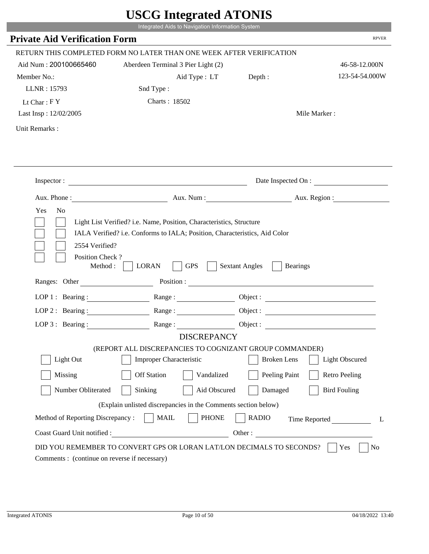|                                              | Integrated Aids to Navigation Information System                                              |                                                        |                          |
|----------------------------------------------|-----------------------------------------------------------------------------------------------|--------------------------------------------------------|--------------------------|
| <b>Private Aid Verification Form</b>         |                                                                                               |                                                        | <b>RPVER</b>             |
|                                              | RETURN THIS COMPLETED FORM NO LATER THAN ONE WEEK AFTER VERIFICATION                          |                                                        |                          |
| Aid Num: 200100665460                        | Aberdeen Terminal 3 Pier Light (2)                                                            |                                                        | 46-58-12.000N            |
| Member No.:                                  | Aid Type : LT                                                                                 | Depth:                                                 | 123-54-54.000W           |
| LLNR: 15793                                  | Snd Type:                                                                                     |                                                        |                          |
| Lt Char: $FY$                                | Charts: 18502                                                                                 |                                                        |                          |
| Last Insp: 12/02/2005                        |                                                                                               |                                                        | Mile Marker:             |
| Unit Remarks:                                |                                                                                               |                                                        |                          |
|                                              |                                                                                               |                                                        |                          |
|                                              | Inspector:                                                                                    |                                                        | Date Inspected On :      |
| Aux. Phone :<br>N <sub>o</sub>               |                                                                                               |                                                        | Aux. Num : Aux. Region : |
| 2554 Verified?                               | IALA Verified? i.e. Conforms to IALA; Position, Characteristics, Aid Color                    |                                                        |                          |
| Position Check?<br>Method :<br>Ranges: Other | <b>GPS</b><br><b>LORAN</b>                                                                    | <b>Sextant Angles</b><br><b>Bearings</b><br>Position : |                          |
|                                              |                                                                                               |                                                        |                          |
|                                              | LOP 1: Bearing: $\qquad \qquad$ Range:                                                        |                                                        |                          |
|                                              | LOP 2: Bearing: Range:                                                                        |                                                        |                          |
| LOP $3:$ Bearing :                           | Range:                                                                                        |                                                        | Object:                  |
|                                              | <b>DISCREPANCY</b><br>(REPORT ALL DISCREPANCIES TO COGNIZANT GROUP COMMANDER)                 |                                                        |                          |
| Light Out                                    | Improper Characteristic                                                                       | <b>Broken</b> Lens                                     | <b>Light Obscured</b>    |
| Missing                                      | <b>Off Station</b><br>Vandalized                                                              | Peeling Paint                                          | <b>Retro Peeling</b>     |
| Number Obliterated                           | Aid Obscured<br>Sinking                                                                       | Damaged                                                | <b>Bird Fouling</b>      |
|                                              |                                                                                               |                                                        |                          |
| Method of Reporting Discrepancy:             | (Explain unlisted discrepancies in the Comments section below)<br><b>PHONE</b><br><b>MAIL</b> | <b>RADIO</b>                                           |                          |
| Coast Guard Unit notified :                  | Other:                                                                                        |                                                        | Time Reported            |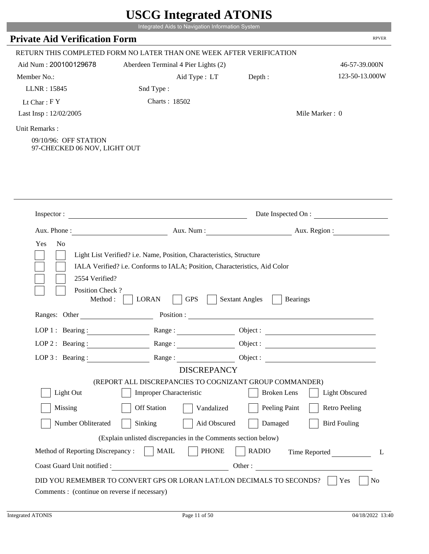|                                                                        | Integrated Aids to Navigation Information System                                                                                                                                                                              |                                          |                       |
|------------------------------------------------------------------------|-------------------------------------------------------------------------------------------------------------------------------------------------------------------------------------------------------------------------------|------------------------------------------|-----------------------|
| <b>Private Aid Verification Form</b>                                   |                                                                                                                                                                                                                               |                                          | <b>RPVER</b>          |
|                                                                        | RETURN THIS COMPLETED FORM NO LATER THAN ONE WEEK AFTER VERIFICATION                                                                                                                                                          |                                          |                       |
| Aid Num: 200100129678                                                  | Aberdeen Terminal 4 Pier Lights (2)                                                                                                                                                                                           |                                          | 46-57-39.000N         |
| Member No.:                                                            | Aid Type : LT                                                                                                                                                                                                                 | Depth:                                   | 123-50-13.000W        |
| LLNR: 15845                                                            | Snd Type:                                                                                                                                                                                                                     |                                          |                       |
| Lt Char: $FY$                                                          | Charts: 18502                                                                                                                                                                                                                 |                                          |                       |
| Last Insp: 12/02/2005                                                  |                                                                                                                                                                                                                               |                                          | Mile Marker: 0        |
| Unit Remarks:<br>09/10/96: OFF STATION<br>97-CHECKED 06 NOV, LIGHT OUT |                                                                                                                                                                                                                               |                                          |                       |
| Inspector:                                                             | <u> 1980 - Johann Barn, mars ann an t-Amhain Aonaich an t-Aonaich an t-Aonaich ann an t-Aonaich ann an t-Aonaich</u>                                                                                                          |                                          | Date Inspected On :   |
|                                                                        |                                                                                                                                                                                                                               |                                          |                       |
| Aux. Phone :<br>Yes<br>No                                              | Aux. Num: Aux. Region:<br>Light List Verified? i.e. Name, Position, Characteristics, Structure                                                                                                                                |                                          |                       |
| 2554 Verified?<br>Position Check?<br>Method:                           | IALA Verified? i.e. Conforms to IALA; Position, Characteristics, Aid Color<br><b>LORAN</b><br><b>GPS</b>                                                                                                                      | <b>Sextant Angles</b><br><b>Bearings</b> |                       |
| Ranges: Other                                                          | Position :                                                                                                                                                                                                                    |                                          |                       |
| LOP $1$ : Bearing :                                                    | Range:                                                                                                                                                                                                                        | Object :                                 |                       |
|                                                                        | LOP 2: Bearing : Range : Range : Object : Next : Next : Next : Next : Next : Next : Next : Next : Next : Next : Next : Next : Next : Next : Next : Next : Next : Next : Next : Next : Next : Next : Next : Next : Next : Next |                                          |                       |
| LOP 3 : Bearing :                                                      | Range:                                                                                                                                                                                                                        | Object :                                 |                       |
|                                                                        | <b>DISCREPANCY</b>                                                                                                                                                                                                            |                                          |                       |
| Light Out                                                              | (REPORT ALL DISCREPANCIES TO COGNIZANT GROUP COMMANDER)<br><b>Improper Characteristic</b>                                                                                                                                     | <b>Broken</b> Lens                       | <b>Light Obscured</b> |
| Missing                                                                | <b>Off Station</b><br>Vandalized                                                                                                                                                                                              | Peeling Paint                            | <b>Retro Peeling</b>  |
| Number Obliterated                                                     | Sinking<br>Aid Obscured                                                                                                                                                                                                       | Damaged                                  | <b>Bird Fouling</b>   |
|                                                                        | (Explain unlisted discrepancies in the Comments section below)                                                                                                                                                                |                                          |                       |
| Method of Reporting Discrepancy :     MAIL                             | <b>PHONE</b>                                                                                                                                                                                                                  | <b>RADIO</b>                             | Time Reported<br>L    |

г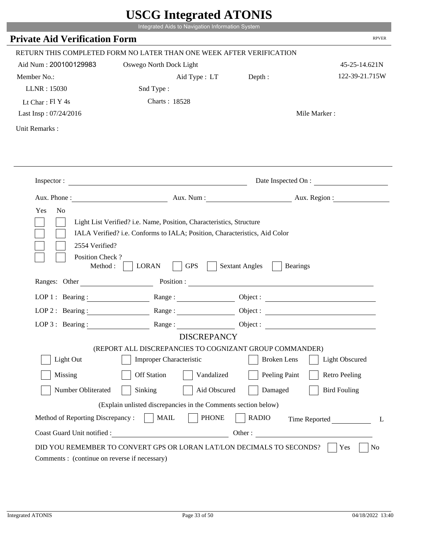|                                                                 | Integrated Aids to Navigation Information System                                                                                                   |                                                        |                       |
|-----------------------------------------------------------------|----------------------------------------------------------------------------------------------------------------------------------------------------|--------------------------------------------------------|-----------------------|
| <b>Private Aid Verification Form</b>                            |                                                                                                                                                    |                                                        | <b>RPVER</b>          |
|                                                                 | RETURN THIS COMPLETED FORM NO LATER THAN ONE WEEK AFTER VERIFICATION                                                                               |                                                        |                       |
| Aid Num: 200100129983                                           | Oswego North Dock Light                                                                                                                            |                                                        | 45-25-14.621N         |
| Member No.:                                                     | Aid Type : LT                                                                                                                                      | Depth:                                                 | 122-39-21.715W        |
| LLNR: 15030                                                     | Snd Type:                                                                                                                                          |                                                        |                       |
| Lt Char: $FI$ Y 4s                                              | <b>Charts: 18528</b>                                                                                                                               |                                                        |                       |
| Last Insp: 07/24/2016                                           |                                                                                                                                                    |                                                        | Mile Marker:          |
| Unit Remarks:                                                   |                                                                                                                                                    |                                                        |                       |
|                                                                 |                                                                                                                                                    |                                                        |                       |
|                                                                 | Inspector:                                                                                                                                         |                                                        | Date Inspected On :   |
|                                                                 | Aux. Phone : Aux. Num : Aux. Num : Aux. Aux. Region :                                                                                              |                                                        |                       |
| 2554 Verified?                                                  | Light List Verified? i.e. Name, Position, Characteristics, Structure<br>IALA Verified? i.e. Conforms to IALA; Position, Characteristics, Aid Color |                                                        |                       |
| Position Check?<br>Method : $\vert$<br>Ranges: Other            | <b>GPS</b><br><b>LORAN</b>                                                                                                                         | <b>Sextant Angles</b><br><b>Bearings</b><br>Position : |                       |
|                                                                 | Range:                                                                                                                                             |                                                        |                       |
| LOP 1 : Bearing :<br>$LOP$ 2 : Bearing :                        |                                                                                                                                                    |                                                        |                       |
|                                                                 |                                                                                                                                                    |                                                        |                       |
|                                                                 | LOP 3: Bearing : $\qquad \qquad$ Range :<br><b>DISCREPANCY</b>                                                                                     |                                                        | Object:               |
|                                                                 | (REPORT ALL DISCREPANCIES TO COGNIZANT GROUP COMMANDER)                                                                                            |                                                        |                       |
| Light Out                                                       | Improper Characteristic                                                                                                                            | <b>Broken</b> Lens                                     | <b>Light Obscured</b> |
| Missing                                                         | <b>Off Station</b><br>Vandalized                                                                                                                   | Peeling Paint                                          | <b>Retro Peeling</b>  |
| Number Obliterated                                              | Sinking<br>Aid Obscured                                                                                                                            | Damaged                                                | <b>Bird Fouling</b>   |
|                                                                 |                                                                                                                                                    |                                                        |                       |
|                                                                 | (Explain unlisted discrepancies in the Comments section below)                                                                                     |                                                        |                       |
| Method of Reporting Discrepancy:<br>Coast Guard Unit notified : | <b>MAIL</b><br><b>PHONE</b>                                                                                                                        | <b>RADIO</b><br>Other:                                 | Time Reported         |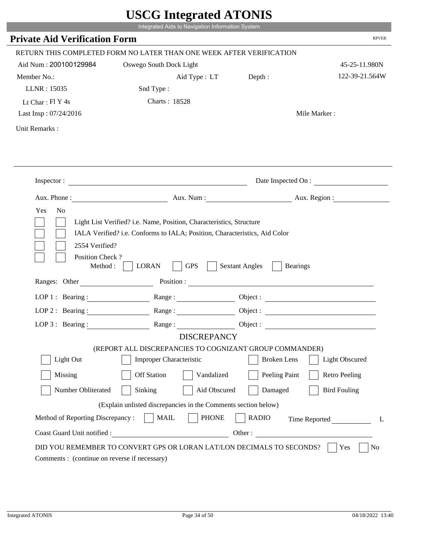|                                                            | Integrated Aids to Navigation Information System                                                                                                   |                                          |                       |
|------------------------------------------------------------|----------------------------------------------------------------------------------------------------------------------------------------------------|------------------------------------------|-----------------------|
| <b>Private Aid Verification Form</b>                       |                                                                                                                                                    |                                          | <b>RPVER</b>          |
|                                                            | RETURN THIS COMPLETED FORM NO LATER THAN ONE WEEK AFTER VERIFICATION                                                                               |                                          |                       |
| Aid Num: 200100129984                                      | Oswego South Dock Light                                                                                                                            |                                          | 45-25-11.980N         |
| Member No.:                                                | Aid Type : LT Depth :                                                                                                                              |                                          | 122-39-21.564W        |
| LLNR: 15035                                                | Snd Type:                                                                                                                                          |                                          |                       |
| Lt Char: $FI Y 4s$                                         | <b>Charts: 18528</b>                                                                                                                               |                                          |                       |
| Last Insp: 07/24/2016                                      |                                                                                                                                                    |                                          | Mile Marker:          |
| Unit Remarks:                                              |                                                                                                                                                    |                                          |                       |
|                                                            |                                                                                                                                                    |                                          |                       |
|                                                            | Inspector:                                                                                                                                         |                                          | Date Inspected On :   |
|                                                            | Aux. Phone: Aux. Aux. Num : Aux. Aux. Region :                                                                                                     |                                          |                       |
| Yes<br>N <sub>o</sub><br>2554 Verified?<br>Position Check? | Light List Verified? i.e. Name, Position, Characteristics, Structure<br>IALA Verified? i.e. Conforms to IALA; Position, Characteristics, Aid Color |                                          |                       |
| Method : $\vert$<br>Ranges: Other                          | <b>GPS</b><br><b>LORAN</b>                                                                                                                         | <b>Sextant Angles</b><br><b>Bearings</b> |                       |
|                                                            |                                                                                                                                                    |                                          |                       |
|                                                            | LOP 1: Bearing: Range:                                                                                                                             | Object:                                  |                       |
| LOP 2 : Bearing :                                          |                                                                                                                                                    |                                          |                       |
|                                                            | LOP 3: Bearing: Range: Name: Object:<br><b>DISCREPANCY</b>                                                                                         |                                          |                       |
|                                                            | (REPORT ALL DISCREPANCIES TO COGNIZANT GROUP COMMANDER)                                                                                            |                                          |                       |
| Light Out                                                  | Improper Characteristic                                                                                                                            | <b>Broken</b> Lens                       | <b>Light Obscured</b> |
| Missing                                                    | <b>Off Station</b><br>Vandalized                                                                                                                   | Peeling Paint                            | <b>Retro Peeling</b>  |
| Number Obliterated                                         | Sinking<br>Aid Obscured                                                                                                                            | Damaged                                  | <b>Bird Fouling</b>   |
|                                                            | (Explain unlisted discrepancies in the Comments section below)                                                                                     |                                          |                       |
| Method of Reporting Discrepancy:                           | <b>PHONE</b><br><b>MAIL</b>                                                                                                                        | <b>RADIO</b>                             | Time Reported<br>L    |